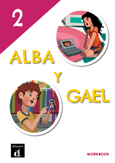





**WORKBOOK**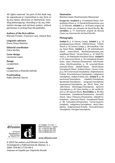All rights reserved. No part of this book may be reproduced or transmitted in any form or by any means, electronic or mechanical, including photocopying, recording or by any information storage and retrieval system, without permission in writing from the publisher.

### **Authors of the first edition**

Marcela Fritzler, Francisco Lara, Daiane Reis

**Linguistic advisors** Diana Chery-Ramírez

**Editorial coordinator** Clara Serfaty

**Cover design** Laurianne Lopez

**Design** La japonesa

**Layout** La japonesa y Elisenda Galindo

**Proofreading** Pablo Sánchez García

### **Ilustration**

Montse Casas (Ilustraciones Monsuros)

**Except for**: **Unidad 0**: p. 9 VanReeel/iStock, Poligrafistka/iStock; p. 11 Darakchi|Dreamstime.com; p. 13 Difusión. **Unidad 1**: p. 16 Diseño original de Montse Casas con retoques de David Revilla. **Recortables**: p. 77 Ilustración original de Montse Casas con intervención de David Revilla.

### **Photography**

**Unidad 0**: p. 8 Llorenç Conejo. **Unidad 1**: p. 15 jentakespictures/iStock, HRAUN/iStock, STEEX/ iStock; p. 16 Llorenç Conejo; p. 18 AztecBlue / Alamy Stock Photo. **Unidad 3**: p. 29 mahmutbaran/ iStock, ronen/iStock, Ronstik|Dreamstime.com, andy0man/iStock, Yaruta/iStock; p. 31 NilsZ/Fotolia; p. 34 Aleksandra Kaiudina/iStock. **Unidad 5**: p. 51 Lalocracio/iStock; p. 52 Loshadenok/Dreamstime, Iakov Filimonov/Dreamstime, Alle/Dreamstime, Alle/Dreamstime; p. 55 cynoclub/iStock, ksena32/iStock, GlobalP/iStock, JMichl/iStock, Sunnybeach/iStock, Eriklam/iStock, Llorenç Conejo; p. 56 Turnervisual/Istockphoto, Delphotostock/ Fotolia, PicturePartners/Istockphoto, indigolotos/ Istockphoto, baibaz/Fotolia.com. **Unidad 6**: p. 60 eurotravel/Istockphoto, mladn61/Istockphoto, Sproetniek/Istockphoto, yongyuan/Istockphoto, anyaivanova/Istockphoto; pp. 60-61 Peter\_Horvath/iStock, tifonimages/Istockphoto, Apriori1/ Istockphoto; p. 61 Clara Serfaty; p. 64 vasiliki/iStock; p. 65 nayuco/iStock. **Recortables**: p. 83 Alle/ Dreamstime, Loshadenok/Dreamstime, ksena32/ iStock, Iakov Filimonov/Dreamstime, GlobalP/Istockphoto, Lalocracio/iStock, Sunnybeach/iStock; p. 89 Tanteckken/Dreamstime, Turnervisual/Istockphoto, indigolotos/Istockphoto, oksix/Istockphoto, Delphotostock/Fotolia, PicturePartners/ Istockphoto, chictype/Istockphoto.

# difusión

Centro de Investigación y **Publicaciones** de Idiomas, S.L.



C/ Trafalgar, 10, entlo. 1ª 08010 Barcelona - España Tel.: (+34) 932 680 300<br>Fax: (+34) 932 680 300<br>Fax: (+34) 933 103 340 editorial@difusion.com

www.difusion.com

© 2019 The authors and Difusión Centro de Investigación y Publicaciones de Idiomas, S. L. ISBN: 978-84-17710-09-5 Impreso en España por Imprenta Mundo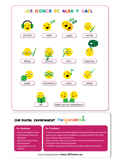

# OUR DIGITAL ENVIRONMENT The Spanish Hub

### **For Students**

- **•** Interactive digital version of the Student Book and Workbook
- **•** Self-correcting activities
- **•** Audio program
- **•** Songs**,** games**,** cut-out material

### **For Teachers**

- **•** A fully functional Learning Management System that helps you make the most of your classes with  $\overline{a}$  gradebook, as well as analytics that track your students' class performance.
- **•** Master classes, easy-to-copy sections, and customizable lesson plans.
- **•** Interactive self-correcting activities.
- **•** Gradebook, messaging, and data to evaluate student performance.

## Access TheSpanishHub at **www.difusion.us**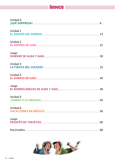# ÍNDICE

| Unidad 0 |
|----------|
| Unidad 1 |
| Unidad 2 |
| Juego    |
| Unidad 3 |
| Unidad 4 |
| Juego    |
| Unidad 5 |
| Unidad 6 |
| Juego    |
|          |